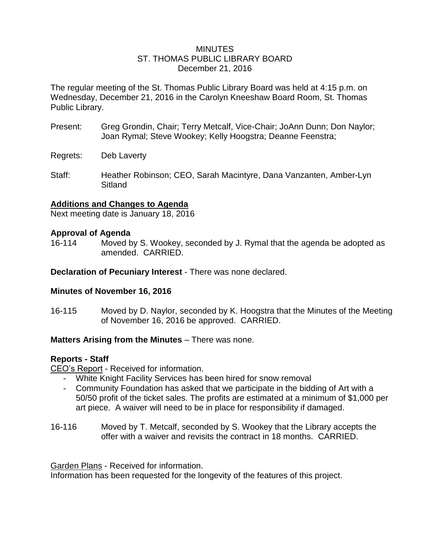### MINUTES ST. THOMAS PUBLIC LIBRARY BOARD December 21, 2016

The regular meeting of the St. Thomas Public Library Board was held at 4:15 p.m. on Wednesday, December 21, 2016 in the Carolyn Kneeshaw Board Room, St. Thomas Public Library.

- Present: Greg Grondin, Chair; Terry Metcalf, Vice-Chair; JoAnn Dunn; Don Naylor; Joan Rymal; Steve Wookey; Kelly Hoogstra; Deanne Feenstra;
- Regrets: Deb Laverty
- Staff: Heather Robinson; CEO, Sarah Macintyre, Dana Vanzanten, Amber-Lyn Sitland

## **Additions and Changes to Agenda**

Next meeting date is January 18, 2016

### **Approval of Agenda**

16-114 Moved by S. Wookey, seconded by J. Rymal that the agenda be adopted as amended. CARRIED.

**Declaration of Pecuniary Interest** - There was none declared.

### **Minutes of November 16, 2016**

16-115 Moved by D. Naylor, seconded by K. Hoogstra that the Minutes of the Meeting of November 16, 2016 be approved. CARRIED.

### **Matters Arising from the Minutes** – There was none.

### **Reports - Staff**

CEO's Report - Received for information.

- White Knight Facility Services has been hired for snow removal
- Community Foundation has asked that we participate in the bidding of Art with a 50/50 profit of the ticket sales. The profits are estimated at a minimum of \$1,000 per art piece. A waiver will need to be in place for responsibility if damaged.
- 16-116 Moved by T. Metcalf, seconded by S. Wookey that the Library accepts the offer with a waiver and revisits the contract in 18 months. CARRIED.

Garden Plans - Received for information.

Information has been requested for the longevity of the features of this project.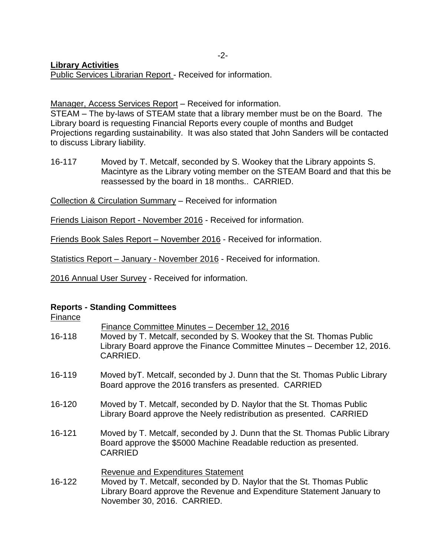## **Library Activities**

Public Services Librarian Report - Received for information.

Manager, Access Services Report – Received for information.

STEAM – The by-laws of STEAM state that a library member must be on the Board. The Library board is requesting Financial Reports every couple of months and Budget Projections regarding sustainability. It was also stated that John Sanders will be contacted to discuss Library liability.

16-117 Moved by T. Metcalf, seconded by S. Wookey that the Library appoints S. Macintyre as the Library voting member on the STEAM Board and that this be reassessed by the board in 18 months.. CARRIED.

Collection & Circulation Summary – Received for information

Friends Liaison Report - November 2016 - Received for information.

Friends Book Sales Report – November 2016 - Received for information.

Statistics Report – January - November 2016 - Received for information.

2016 Annual User Survey - Received for information.

#### **Reports - Standing Committees** Finance

| <b>Finance</b> |                                                                                                                                                                                                                             |
|----------------|-----------------------------------------------------------------------------------------------------------------------------------------------------------------------------------------------------------------------------|
| 16-118         | Finance Committee Minutes - December 12, 2016<br>Moved by T. Metcalf, seconded by S. Wookey that the St. Thomas Public<br>Library Board approve the Finance Committee Minutes – December 12, 2016.<br>CARRIED.              |
| 16-119         | Moved by T. Metcalf, seconded by J. Dunn that the St. Thomas Public Library<br>Board approve the 2016 transfers as presented. CARRIED                                                                                       |
| 16-120         | Moved by T. Metcalf, seconded by D. Naylor that the St. Thomas Public<br>Library Board approve the Neely redistribution as presented. CARRIED                                                                               |
| 16-121         | Moved by T. Metcalf, seconded by J. Dunn that the St. Thomas Public Library<br>Board approve the \$5000 Machine Readable reduction as presented.<br><b>CARRIED</b>                                                          |
| 16-122         | <b>Revenue and Expenditures Statement</b><br>Moved by T. Metcalf, seconded by D. Naylor that the St. Thomas Public<br>Library Board approve the Revenue and Expenditure Statement January to<br>November 30, 2016. CARRIED. |